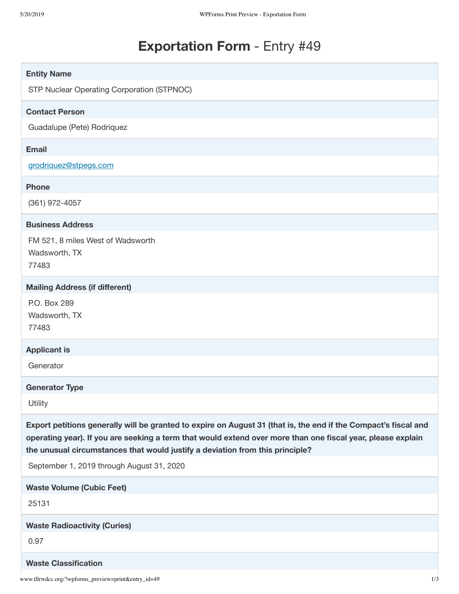# **Exportation Form** - Entry #49

| <b>Entity Name</b>                                                                                                                                                                                                                                                                                              |     |
|-----------------------------------------------------------------------------------------------------------------------------------------------------------------------------------------------------------------------------------------------------------------------------------------------------------------|-----|
| STP Nuclear Operating Corporation (STPNOC)                                                                                                                                                                                                                                                                      |     |
| <b>Contact Person</b>                                                                                                                                                                                                                                                                                           |     |
| Guadalupe (Pete) Rodriquez                                                                                                                                                                                                                                                                                      |     |
| <b>Email</b>                                                                                                                                                                                                                                                                                                    |     |
| grodriguez@stpegs.com                                                                                                                                                                                                                                                                                           |     |
| <b>Phone</b>                                                                                                                                                                                                                                                                                                    |     |
| (361) 972-4057                                                                                                                                                                                                                                                                                                  |     |
| <b>Business Address</b>                                                                                                                                                                                                                                                                                         |     |
| FM 521, 8 miles West of Wadsworth                                                                                                                                                                                                                                                                               |     |
| Wadsworth, TX<br>77483                                                                                                                                                                                                                                                                                          |     |
| <b>Mailing Address (if different)</b>                                                                                                                                                                                                                                                                           |     |
| P.O. Box 289                                                                                                                                                                                                                                                                                                    |     |
| Wadsworth, TX                                                                                                                                                                                                                                                                                                   |     |
| 77483                                                                                                                                                                                                                                                                                                           |     |
| <b>Applicant is</b>                                                                                                                                                                                                                                                                                             |     |
| Generator                                                                                                                                                                                                                                                                                                       |     |
| <b>Generator Type</b>                                                                                                                                                                                                                                                                                           |     |
| Utility                                                                                                                                                                                                                                                                                                         |     |
| Export petitions generally will be granted to expire on August 31 (that is, the end if the Compact's fiscal and<br>operating year). If you are seeking a term that would extend over more than one fiscal year, please explain<br>the unusual circumstances that would justify a deviation from this principle? |     |
| September 1, 2019 through August 31, 2020                                                                                                                                                                                                                                                                       |     |
| <b>Waste Volume (Cubic Feet)</b>                                                                                                                                                                                                                                                                                |     |
| 25131                                                                                                                                                                                                                                                                                                           |     |
| <b>Waste Radioactivity (Curies)</b>                                                                                                                                                                                                                                                                             |     |
| 0.97                                                                                                                                                                                                                                                                                                            |     |
| <b>Waste Classification</b>                                                                                                                                                                                                                                                                                     |     |
| www.tllrwdcc.org/?wpforms_preview=print&entry_id=49                                                                                                                                                                                                                                                             | 1/3 |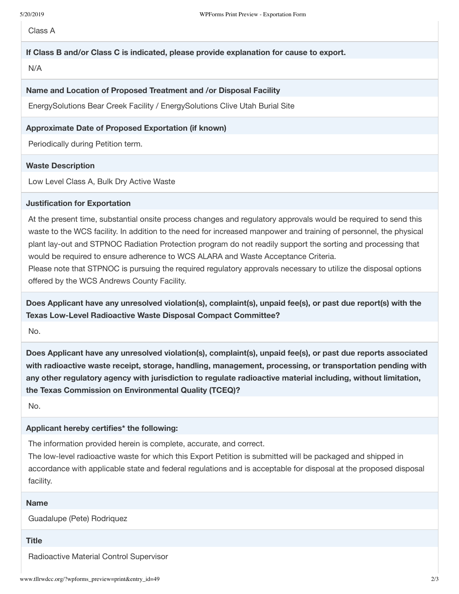Class A

## **If Class B and/or Class C is indicated, please provide explanation for cause to export.**

N/A

#### **Name and Location of Proposed Treatment and /or Disposal Facility**

EnergySolutions Bear Creek Facility / EnergySolutions Clive Utah Burial Site

## **Approximate Date of Proposed Exportation (if known)**

Periodically during Petition term.

## **Waste Description**

Low Level Class A, Bulk Dry Active Waste

#### **Justification for Exportation**

At the present time, substantial onsite process changes and regulatory approvals would be required to send this waste to the WCS facility. In addition to the need for increased manpower and training of personnel, the physical plant lay-out and STPNOC Radiation Protection program do not readily support the sorting and processing that would be required to ensure adherence to WCS ALARA and Waste Acceptance Criteria.

Please note that STPNOC is pursuing the required regulatory approvals necessary to utilize the disposal options offered by the WCS Andrews County Facility.

**Does Applicant have any unresolved violation(s), complaint(s), unpaid fee(s), or past due report(s) with the Texas Low-Level Radioactive Waste Disposal Compact Committee?**

No.

**Does Applicant have any unresolved violation(s), complaint(s), unpaid fee(s), or past due reports associated with radioactive waste receipt, storage, handling, management, processing, or transportation pending with any other regulatory agency with jurisdiction to regulate radioactive material including, without limitation, the Texas Commission on Environmental Quality (TCEQ)?**

No.

#### **Applicant hereby certifies\* the following:**

The information provided herein is complete, accurate, and correct.

The low-level radioactive waste for which this Export Petition is submitted will be packaged and shipped in accordance with applicable state and federal regulations and is acceptable for disposal at the proposed disposal facility.

#### **Name**

Guadalupe (Pete) Rodriquez

#### **Title**

Radioactive Material Control Supervisor